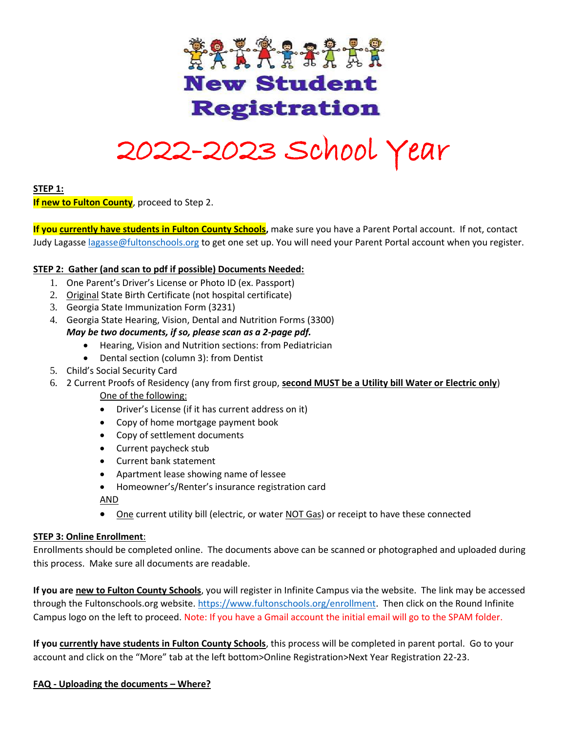

# 2022-2023 School Year

### **STEP 1:**

**If new to Fulton County**, proceed to Step 2.

**If you currently have students in Fulton County Schools,** make sure you have a Parent Portal account. If not, contact Judy Lagass[e lagasse@fultonschools.org](mailto:lagasse@fultonschools.org) to get one set up. You will need your Parent Portal account when you register.

## **STEP 2: Gather (and scan to pdf if possible) Documents Needed:**

- 1. One Parent's Driver's License or Photo ID (ex. Passport)
- 2. Original State Birth Certificate (not hospital certificate)
- 3. Georgia State Immunization Form (3231)
- 4. Georgia State Hearing, Vision, Dental and Nutrition Forms (3300)

## *May be two documents, if so, please scan as a 2-page pdf.*

- Hearing, Vision and Nutrition sections: from Pediatrician
- Dental section (column 3): from Dentist
- 5. Child's Social Security Card
- 6. 2 Current Proofs of Residency (any from first group, **second MUST be a Utility bill Water or Electric only**)
	- One of the following:
	- Driver's License (if it has current address on it)
	- Copy of home mortgage payment book
	- Copy of settlement documents
	- Current paycheck stub
	- Current bank statement
	- Apartment lease showing name of lessee
	- Homeowner's/Renter's insurance registration card

AND

• One current utility bill (electric, or water NOT Gas) or receipt to have these connected

### **STEP 3: Online Enrollment**:

Enrollments should be completed online. The documents above can be scanned or photographed and uploaded during this process. Make sure all documents are readable.

**If you are new to Fulton County Schools**, you will register in Infinite Campus via the website. The link may be accessed through the Fultonschools.org website. [https://www.fultonschools.org/enrollment.](https://www.fultonschools.org/enrollment) Then click on the Round Infinite Campus logo on the left to proceed. Note: If you have a Gmail account the initial email will go to the SPAM folder.

**If you currently have students in Fulton County Schools**, this process will be completed in parent portal. Go to your account and click on the "More" tab at the left bottom>Online Registration>Next Year Registration 22-23.

## **FAQ - Uploading the documents – Where?**